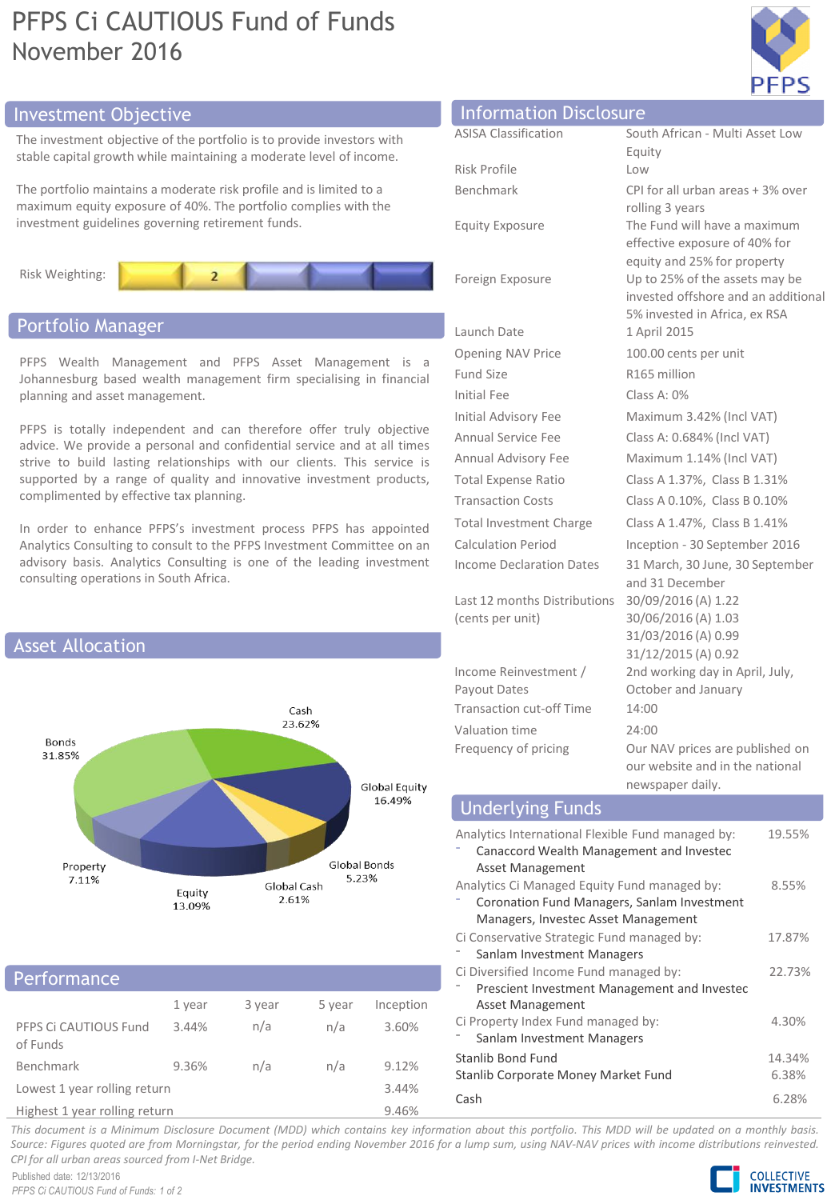# PFPS Ci CAUTIOUS Fund of Funds November 2016



# Investment Objective

The investment objective of the portfolio is to provide investors with stable capital growth while maintaining a moderate level of income.

The portfolio maintains a moderate risk profile and is limited to a maximum equity exposure of 40%. The portfolio complies with the investment guidelines governing retirement funds.



# Portfolio Manager

PFPS Wealth Management and PFPS Asset Management is a Johannesburg based wealth management firm specialising in financial planning and asset management.

PFPS is totally independent and can therefore offer truly objective advice. We provide a personal and confidential service and at all times strive to build lasting relationships with our clients. This service is supported by a range of quality and innovative investment products, complimented by effective tax planning.

In order to enhance PFPS's investment process PFPS has appointed Analytics Consulting to consult to the PFPS Investment Committee on an advisory basis. Analytics Consulting is one of the leading investment consulting operations in South Africa.



# **Performance**

|                                                                                                                                                                                                                                                                                                             | 1 year | 3 year | 5 year | Inception |
|-------------------------------------------------------------------------------------------------------------------------------------------------------------------------------------------------------------------------------------------------------------------------------------------------------------|--------|--------|--------|-----------|
| PFPS Ci CAUTIOUS Fund<br>of Funds                                                                                                                                                                                                                                                                           | 3.44%  | n/a    | n/a    | 3.60%     |
| Benchmark                                                                                                                                                                                                                                                                                                   | 9.36%  | n/a    | n/a    | 9.12%     |
| Lowest 1 year rolling return                                                                                                                                                                                                                                                                                |        |        |        | 3.44%     |
| $\mathbf{r}$ , $\mathbf{r}$ , $\mathbf{r}$ , $\mathbf{r}$ , $\mathbf{r}$ , $\mathbf{r}$ , $\mathbf{r}$ , $\mathbf{r}$ , $\mathbf{r}$ , $\mathbf{r}$ , $\mathbf{r}$ , $\mathbf{r}$ , $\mathbf{r}$ , $\mathbf{r}$ , $\mathbf{r}$ , $\mathbf{r}$ , $\mathbf{r}$ , $\mathbf{r}$ , $\mathbf{r}$ , $\mathbf{r}$ , |        |        |        | 0.001     |

Highest 1 year rolling return 9.46%

| <b>Information Disclosure</b> |                                 |
|-------------------------------|---------------------------------|
| <b>ASISA Classification</b>   | South African - Multi Asset Low |

| ASISA Classification           | South African - Multi Asset Low<br>Equity                                                          |  |
|--------------------------------|----------------------------------------------------------------------------------------------------|--|
| Risk Profile                   | Low                                                                                                |  |
| Benchmark                      | CPI for all urban areas $+3\%$ ove<br>rolling 3 years                                              |  |
| <b>Equity Exposure</b>         | The Fund will have a maximum<br>effective exposure of 40% for<br>equity and 25% for property       |  |
| Foreign Exposure               | Up to 25% of the assets may be<br>invested offshore and an additi<br>5% invested in Africa, ex RSA |  |
| Launch Date                    | 1 April 2015                                                                                       |  |
| <b>Opening NAV Price</b>       | 100.00 cents per unit                                                                              |  |
| Fund Size                      | R165 million                                                                                       |  |
| Initial Fee                    | Class A: $0\%$                                                                                     |  |
| Initial Advisory Fee           | Maximum 3.42% (Incl VAT)                                                                           |  |
| Annual Service Fee             | Class A: 0.684% (Incl VAT)                                                                         |  |
| Annual Advisory Fee            | Maximum 1.14% (Incl VAT)                                                                           |  |
| <b>Total Expense Ratio</b>     | Class A 1.37%, Class B 1.31%                                                                       |  |
| <b>Transaction Costs</b>       | Class A 0.10%, Class B 0.10%                                                                       |  |
| <b>Total Investment Charge</b> | Class A 1.47%, Class B 1.41%                                                                       |  |
| <b>Calculation Period</b>      | Inception - 30 September 2016                                                                      |  |
| Income Declaration Dates       | 31 March, 30 June, 30 Septemb<br>and 31 December                                                   |  |
| Last 12 months Distributions   | 30/09/2016 (A) 1.22                                                                                |  |
| (cents per unit)               | 30/06/2016 (A) 1.03                                                                                |  |
|                                | $100 \text{ kg}$                                                                                   |  |

Income Reinvestment / Payout Dates Transaction cut-off Time 14:00 Valuation time 24:00

ity Benchmark CPI for all urban areas + 3% over ing 3 years ective exposure of 40% for ity and 25% for property to 25% of the assets may be sted offshore and an additional invested in Africa, ex RSA Income Declaration Dates 31 March, 30 June, 30 September 31 December 09/2016 (A) 1.22 06/2016 (A) 1.03 31/03/2016 (A) 0.99 31/12/2015 (A) 0.92 2nd working day in April, July, October and January Frequency of pricing Our NAV prices are published on our website and in the national newspaper daily.

# Underlying Funds

| Analytics International Flexible Fund managed by:<br>Canaccord Wealth Management and Invested<br>Asset Management                  | 19.55%          |
|------------------------------------------------------------------------------------------------------------------------------------|-----------------|
| Analytics Ci Managed Equity Fund managed by:<br>Coronation Fund Managers, Sanlam Investment<br>Managers, Investec Asset Management | 8.55%           |
| Ci Conservative Strategic Fund managed by:<br>Sanlam Investment Managers                                                           | 17.87%          |
| Ci Diversified Income Fund managed by:<br>Prescient Investment Management and Investec                                             | 22.73%          |
| Asset Management<br>Ci Property Index Fund managed by:<br>Sanlam Investment Managers                                               | 4.30%           |
| Stanlib Bond Fund<br>Stanlib Corporate Money Market Fund                                                                           | 14.34%<br>6.38% |
| Cash                                                                                                                               | 6.28%           |

This document is a Minimum Disclosure Document (MDD) which contains key information about this portfolio. This MDD will be updated on a monthly basis. Source: Figures guoted are from Morningstar, for the period ending November 2016 for a lump sum, using NAV-NAV prices with income distributions reinvested. *CPI for all urban areas sourced from I-Net Bridge.*

Published date: 12/13/2016 *PFPS Ci CAUTIOUS Fund of Funds: 1 of 2*